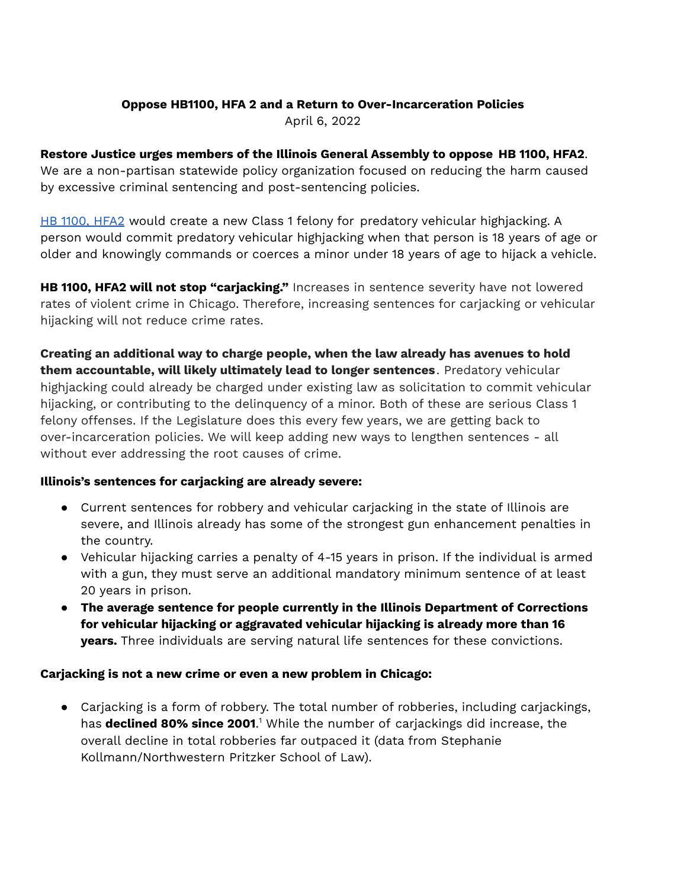## **Oppose HB1100, HFA 2 and a Return to Over-Incarceration Policies**

April 6, 2022

# **Restore Justice urges members of the Illinois General Assembly to oppose HB 1100, HFA2**.

We are a non-partisan statewide policy organization focused on reducing the harm caused by excessive criminal sentencing and post-sentencing policies.

HB 1100, [HFA2](https://ilga.gov/legislation/billstatus.asp?DocNum=1100&GAID=16&GA=102&DocTypeID=HB&LegID=129774&SessionID=110) would create a new Class 1 felony for predatory vehicular highjacking. A person would commit predatory vehicular highjacking when that person is 18 years of age or older and knowingly commands or coerces a minor under 18 years of age to hijack a vehicle.

**HB 1100, HFA2 will not stop "carjacking."** Increases in sentence severity have not lowered rates of violent crime in Chicago. Therefore, increasing sentences for carjacking or vehicular hijacking will not reduce crime rates.

**Creating an additional way to charge people, when the law already has avenues to hold them accountable, will likely ultimately lead to longer sentences**. Predatory vehicular highjacking could already be charged under existing law as solicitation to commit vehicular hijacking, or contributing to the delinquency of a minor. Both of these are serious Class 1 felony offenses. If the Legislature does this every few years, we are getting back to over-incarceration policies. We will keep adding new ways to lengthen sentences - all without ever addressing the root causes of crime.

# **Illinois's sentences for carjacking are already severe:**

- Current sentences for robbery and vehicular carjacking in the state of Illinois are severe, and Illinois already has some of the strongest gun enhancement penalties in the country.
- Vehicular hijacking carries a penalty of 4-15 years in prison. If the individual is armed with a gun, they must serve an additional mandatory minimum sentence of at least 20 years in prison.
- **The average sentence for people currently in the Illinois Department of Corrections for vehicular hijacking or aggravated vehicular hijacking is already more than 16 years.** Three individuals are serving natural life sentences for these convictions.

#### **Carjacking is not a new crime or even a new problem in Chicago:**

● Carjacking is a form of robbery. The total number of robberies, including carjackings, has **declined 80% since 2001**. <sup>1</sup> While the number of carjackings did increase, the overall decline in total robberies far outpaced it (data from Stephanie Kollmann/Northwestern Pritzker School of Law).